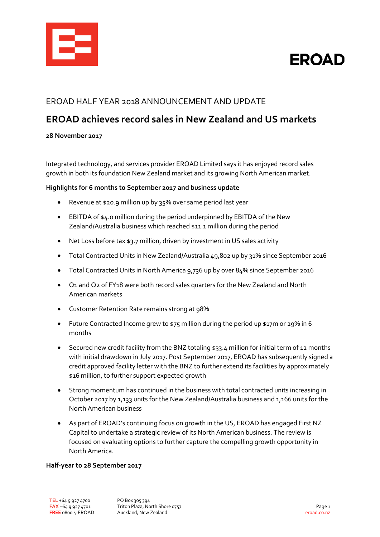

# **FROAD**

### EROAD HALF YEAR 2018 ANNOUNCEMENT AND UPDATE

## **EROAD achieves record sales in New Zealand and US markets**

#### **28 November 2017**

Integrated technology, and services provider EROAD Limited says it has enjoyed record sales growth in both its foundation New Zealand market and its growing North American market.

#### **Highlights for 6 months to September 2017 and business update**

- Revenue at \$20.9 million up by 35% over same period last year
- EBITDA of \$4.0 million during the period underpinned by EBITDA of the New Zealand/Australia business which reached \$11.1 million during the period
- Net Loss before tax \$3.7 million, driven by investment in US sales activity
- Total Contracted Units in New Zealand/Australia 49,802 up by 31% since September 2016
- Total Contracted Units in North America 9,736 up by over 84% since September 2016
- Q1 and Q2 of FY18 were both record sales quarters for the New Zealand and North American markets
- Customer Retention Rate remains strong at 98%
- Future Contracted Income grew to \$75 million during the period up \$17m or 29% in 6 months
- Secured new credit facility from the BNZ totaling \$33.4 million for initial term of 12 months with initial drawdown in July 2017. Post September 2017, EROAD has subsequently signed a credit approved facility letter with the BNZ to further extend its facilities by approximately \$16 million, to further support expected growth
- Strong momentum has continued in the business with total contracted units increasing in October 2017 by 1,133 units for the New Zealand/Australia business and 1,166 units for the North American business
- As part of EROAD's continuing focus on growth in the US, EROAD has engaged First NZ Capital to undertake a strategic review of its North American business. The review is focused on evaluating options to further capture the compelling growth opportunity in North America.

#### **Half-year to 28 September 2017**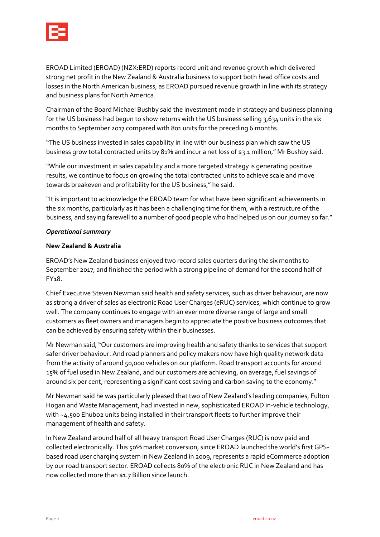

EROAD Limited (EROAD) (NZX:ERD) reports record unit and revenue growth which delivered strong net profit in the New Zealand & Australia business to support both head office costs and losses in the North American business, as EROAD pursued revenue growth in line with its strategy and business plans for North America.

Chairman of the Board Michael Bushby said the investment made in strategy and business planning for the US business had begun to show returns with the US business selling 3,634 units in the six months to September 2017 compared with 801 units for the preceding 6 months.

"The US business invested in sales capability in line with our business plan which saw the US business grow total contracted units by 81% and incur a net loss of \$3.1 million," Mr Bushby said.

"While our investment in sales capability and a more targeted strategy is generating positive results, we continue to focus on growing the total contracted units to achieve scale and move towards breakeven and profitability for the US business," he said.

"It is important to acknowledge the EROAD team for what have been significant achievements in the six months, particularly as it has been a challenging time for them, with a restructure of the business, and saying farewell to a number of good people who had helped us on our journey so far."

#### *Operational summary*

#### **New Zealand & Australia**

EROAD's New Zealand business enjoyed two record sales quarters during the six months to September 2017, and finished the period with a strong pipeline of demand for the second half of FY18.

Chief Executive Steven Newman said health and safety services, such as driver behaviour, are now as strong a driver of sales as electronic Road User Charges (eRUC) services, which continue to grow well. The company continues to engage with an ever more diverse range of large and small customers as fleet owners and managers begin to appreciate the positive business outcomes that can be achieved by ensuring safety within their businesses.

Mr Newman said,"Our customers are improving health and safety thanks to services that support safer driver behaviour. And road planners and policy makers now have high quality network data from the activity of around 50,000 vehicles on our platform. Road transport accounts for around 15% of fuel used in New Zealand, and our customers are achieving, on average, fuel savings of around six per cent, representing a significant cost saving and carbon saving to the economy."

Mr Newman said he was particularly pleased that two of New Zealand's leading companies, Fulton Hogan and Waste Management, had invested in new, sophisticated EROAD in-vehicle technology, with ~4,500 Ehubo2 units being installed in their transport fleets to further improve their management of health and safety.

In New Zealand around half of all heavy transport Road User Charges (RUC) is now paid and collected electronically. This 50% market conversion, since EROAD launched the world's first GPSbased road user charging system in New Zealand in 2009, represents a rapid eCommerce adoption by our road transport sector. EROAD collects 80% of the electronic RUC in New Zealand and has now collected more than \$1.7 Billion since launch.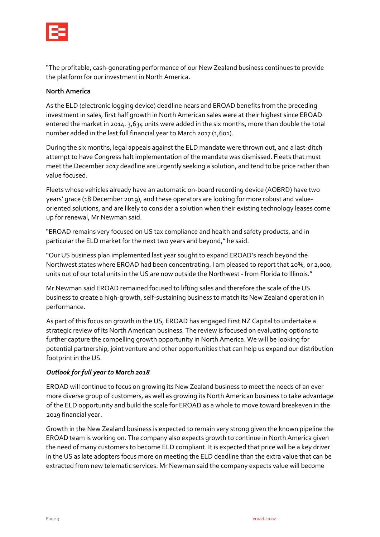

"The profitable, cash-generating performance of our New Zealand business continues to provide the platform for our investment in North America.

#### **North America**

As the ELD (electronic logging device) deadline nears and EROAD benefits from the preceding investment in sales, first half growth in North American sales were at their highest since EROAD entered the market in 2014. 3,634 units were added in the six months, more than double the total number added in the last full financial year to March 2017 (1,601).

During the six months, legal appeals against the ELD mandate were thrown out, and a last-ditch attempt to have Congress halt implementation of the mandate was dismissed. Fleets that must meet the December 2017 deadline are urgently seeking a solution, and tend to be price rather than value focused.

Fleets whose vehicles already have an automatic on-board recording device (AOBRD) have two years' grace (18 December 2019), and these operators are looking for more robust and valueoriented solutions, and are likely to consider a solution when their existing technology leases come up for renewal, Mr Newman said.

"EROAD remains very focused on US tax compliance and health and safety products, and in particular the ELD market for the next two years and beyond," he said.

"Our US business plan implemented last year sought to expand EROAD's reach beyond the Northwest states where EROAD had been concentrating. I am pleased to report that 20%, or 2,000, units out of our total units in the US are now outside the Northwest - from Florida to Illinois."

Mr Newman said EROAD remained focused to lifting sales and therefore the scale of the US business to create a high-growth, self-sustaining business to match its New Zealand operation in performance.

As part of this focus on growth in the US, EROAD has engaged First NZ Capital to undertake a strategic review of its North American business. The review is focused on evaluating options to further capture the compelling growth opportunity in North America. We will be looking for potential partnership, joint venture and other opportunities that can help us expand our distribution footprint in the US.

#### *Outlook for full year to March 2018*

EROAD will continue to focus on growing its New Zealand business to meet the needs of an ever more diverse group of customers, as well as growing its North American business to take advantage of the ELD opportunity and build the scale for EROAD as a whole to move toward breakeven in the 2019 financial year.

Growth in the New Zealand business is expected to remain very strong given the known pipeline the EROAD team is working on. The company also expects growth to continue in North America given the need of many customers to become ELD compliant. It is expected that price will be a key driver in the US as late adopters focus more on meeting the ELD deadline than the extra value that can be extracted from new telematic services. Mr Newman said the company expects value will become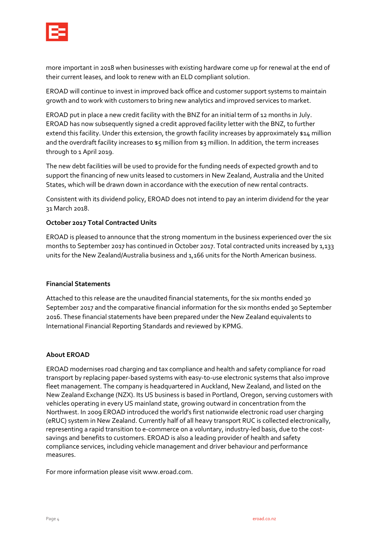

more important in 2018 when businesses with existing hardware come up for renewal at the end of their current leases, and look to renew with an ELD compliant solution.

EROAD will continue to invest in improved back office and customer support systems to maintain growth and to work with customers to bring new analytics and improved services to market.

EROAD put in place a new credit facility with the BNZ for an initial term of 12 months in July. EROAD has now subsequently signed a credit approved facility letter with the BNZ, to further extend this facility. Under this extension, the growth facility increases by approximately \$14 million and the overdraft facility increases to \$5 million from \$3 million. In addition, the term increases through to 1 April 2019.

The new debt facilities will be used to provide for the funding needs of expected growth and to support the financing of new units leased to customers in New Zealand, Australia and the United States, which will be drawn down in accordance with the execution of new rental contracts.

Consistent with its dividend policy, EROAD does not intend to pay an interim dividend for the year 31 March 2018.

#### **October 2017 Total Contracted Units**

EROAD is pleased to announce that the strong momentum in the business experienced over the six months to September 2017 has continued in October 2017. Total contracted units increased by 1,133 units for the New Zealand/Australia business and 1,166 units for the North American business.

#### **Financial Statements**

Attached to this release are the unaudited financial statements, for the six months ended 30 September 2017 and the comparative financial information for the six months ended 30 September 2016. These financial statements have been prepared under the New Zealand equivalents to International Financial Reporting Standards and reviewed by KPMG.

#### **About EROAD**

EROAD modernises road charging and tax compliance and health and safety compliance for road transport by replacing paper-based systems with easy-to-use electronic systems that also improve fleet management. The company is headquartered in Auckland, New Zealand, and listed on the New Zealand Exchange (NZX). Its US business is based in Portland, Oregon, serving customers with vehicles operating in every US mainland state, growing outward in concentration from the Northwest. In 2009 EROAD introduced the world's first nationwide electronic road user charging (eRUC) system in New Zealand. Currently half of all heavy transport RUC is collected electronically, representing a rapid transition to e-commerce on a voluntary, industry-led basis, due to the costsavings and benefits to customers. EROAD is also a leading provider of health and safety compliance services, including vehicle management and driver behaviour and performance measures.

For more information please visit [www.eroad.com.](http://www.eroad.com/)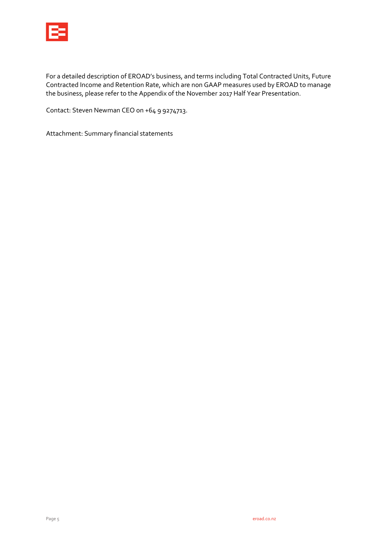

For a detailed description of EROAD's business, and terms including Total Contracted Units, Future Contracted Income and Retention Rate, which are non GAAP measures used by EROAD to manage the business, please refer to the Appendix of the November 2017 Half Year Presentation.

Contact: Steven Newman CEO on +64 9 9274713.

Attachment: Summary financial statements